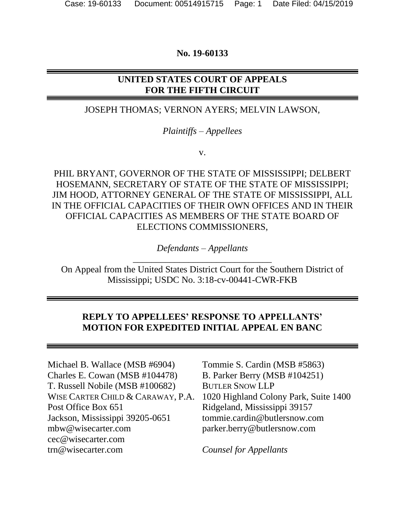#### **No. 19-60133**

## **UNITED STATES COURT OF APPEALS FOR THE FIFTH CIRCUIT**

#### JOSEPH THOMAS; VERNON AYERS; MELVIN LAWSON,

#### *Plaintiffs – Appellees*

v.

PHIL BRYANT, GOVERNOR OF THE STATE OF MISSISSIPPI; DELBERT HOSEMANN, SECRETARY OF STATE OF THE STATE OF MISSISSIPPI; JIM HOOD, ATTORNEY GENERAL OF THE STATE OF MISSISSIPPI, ALL IN THE OFFICIAL CAPACITIES OF THEIR OWN OFFICES AND IN THEIR OFFICIAL CAPACITIES AS MEMBERS OF THE STATE BOARD OF ELECTIONS COMMISSIONERS,

> *Defendants – Appellants* \_\_\_\_\_\_\_\_\_\_\_\_\_\_\_\_\_\_\_\_\_\_\_\_\_\_\_\_\_\_

On Appeal from the United States District Court for the Southern District of Mississippi; USDC No. 3:18-cv-00441-CWR-FKB

## **REPLY TO APPELLEES' RESPONSE TO APPELLANTS' MOTION FOR EXPEDITED INITIAL APPEAL EN BANC**

Michael B. Wallace (MSB #6904) Charles E. Cowan (MSB #104478) T. Russell Nobile (MSB #100682) WISE CARTER CHILD & CARAWAY, P.A. Post Office Box 651 Jackson, Mississippi 39205-0651 [mbw@wisecarter.com](mailto:mbw@wisecarter.com) [cec@wisecarter.com](mailto:cec@wisecarter.com) [trn@wisecarter.com](mailto:trn@wisecarter.com)

Tommie S. Cardin (MSB #5863) B. Parker Berry (MSB #104251) BUTLER SNOW LLP 1020 Highland Colony Park, Suite 1400 Ridgeland, Mississippi 39157 [tommie.cardin@butlersnow.com](mailto:tommie.cardin@butlersnow.com) [parker.berry@butlersnow.com](mailto:parker.berry@butlersnow.com)

*Counsel for Appellants*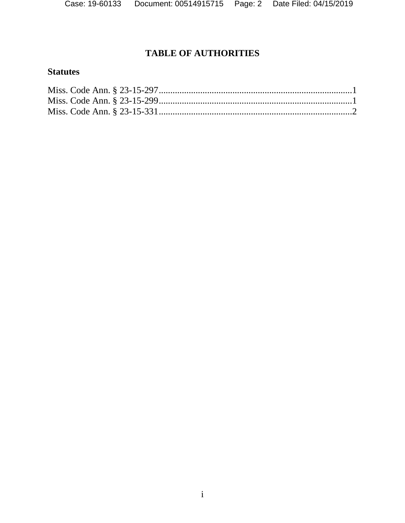# **TABLE OF AUTHORITIES**

# **Statutes**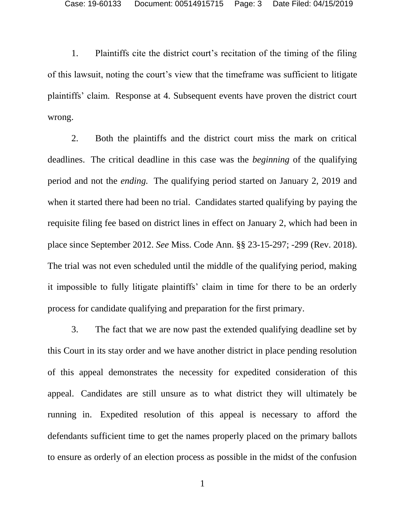1. Plaintiffs cite the district court's recitation of the timing of the filing of this lawsuit, noting the court's view that the timeframe was sufficient to litigate plaintiffs' claim. Response at 4. Subsequent events have proven the district court wrong.

2. Both the plaintiffs and the district court miss the mark on critical deadlines. The critical deadline in this case was the *beginning* of the qualifying period and not the *ending.* The qualifying period started on January 2, 2019 and when it started there had been no trial. Candidates started qualifying by paying the requisite filing fee based on district lines in effect on January 2, which had been in place since September 2012. *See* Miss. Code Ann. §§ 23-15-297; -299 (Rev. 2018). The trial was not even scheduled until the middle of the qualifying period, making it impossible to fully litigate plaintiffs' claim in time for there to be an orderly process for candidate qualifying and preparation for the first primary.

3. The fact that we are now past the extended qualifying deadline set by this Court in its stay order and we have another district in place pending resolution of this appeal demonstrates the necessity for expedited consideration of this appeal. Candidates are still unsure as to what district they will ultimately be running in. Expedited resolution of this appeal is necessary to afford the defendants sufficient time to get the names properly placed on the primary ballots to ensure as orderly of an election process as possible in the midst of the confusion

1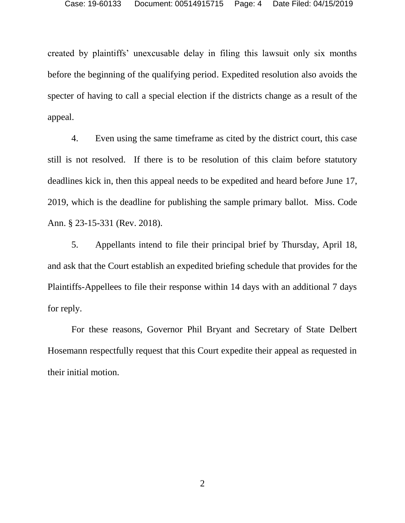created by plaintiffs' unexcusable delay in filing this lawsuit only six months before the beginning of the qualifying period. Expedited resolution also avoids the specter of having to call a special election if the districts change as a result of the appeal.

4. Even using the same timeframe as cited by the district court, this case still is not resolved. If there is to be resolution of this claim before statutory deadlines kick in, then this appeal needs to be expedited and heard before June 17, 2019, which is the deadline for publishing the sample primary ballot. Miss. Code Ann. § 23-15-331 (Rev. 2018).

5. Appellants intend to file their principal brief by Thursday, April 18, and ask that the Court establish an expedited briefing schedule that provides for the Plaintiffs-Appellees to file their response within 14 days with an additional 7 days for reply.

For these reasons, Governor Phil Bryant and Secretary of State Delbert Hosemann respectfully request that this Court expedite their appeal as requested in their initial motion.

2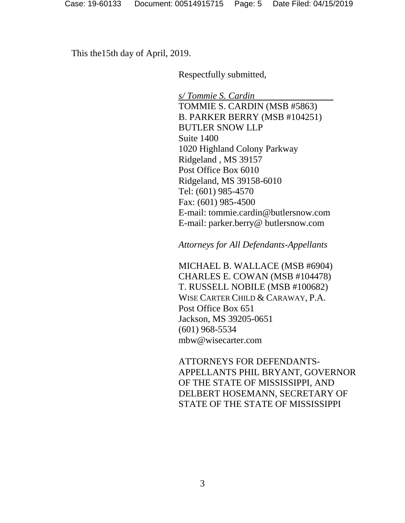This the15th day of April, 2019.

Respectfully submitted,

*s/ Tommie S. Cardin* TOMMIE S. CARDIN (MSB #5863) B. PARKER BERRY (MSB #104251) BUTLER SNOW LLP Suite 1400 1020 Highland Colony Parkway Ridgeland , MS 39157 Post Office Box 6010 Ridgeland, MS 39158-6010 Tel: (601) 985-4570 Fax: (601) 985-4500 E-mail: tommie.cardin@butlersnow.com E-mail: parker.berry@ butlersnow.com

*Attorneys for All Defendants-Appellants*

MICHAEL B. WALLACE (MSB #6904) CHARLES E. COWAN (MSB #104478) T. RUSSELL NOBILE (MSB #100682) WISE CARTER CHILD & CARAWAY, P.A. Post Office Box 651 Jackson, MS 39205-0651 (601) 968-5534 mbw@wisecarter.com

ATTORNEYS FOR DEFENDANTS-APPELLANTS PHIL BRYANT, GOVERNOR OF THE STATE OF MISSISSIPPI, AND DELBERT HOSEMANN, SECRETARY OF STATE OF THE STATE OF MISSISSIPPI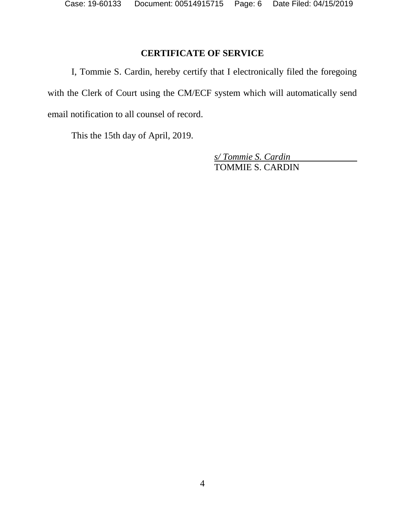## **CERTIFICATE OF SERVICE**

I, Tommie S. Cardin, hereby certify that I electronically filed the foregoing with the Clerk of Court using the CM/ECF system which will automatically send email notification to all counsel of record.

This the 15th day of April, 2019.

*s/ Tommie S. Cardin* TOMMIE S. CARDIN